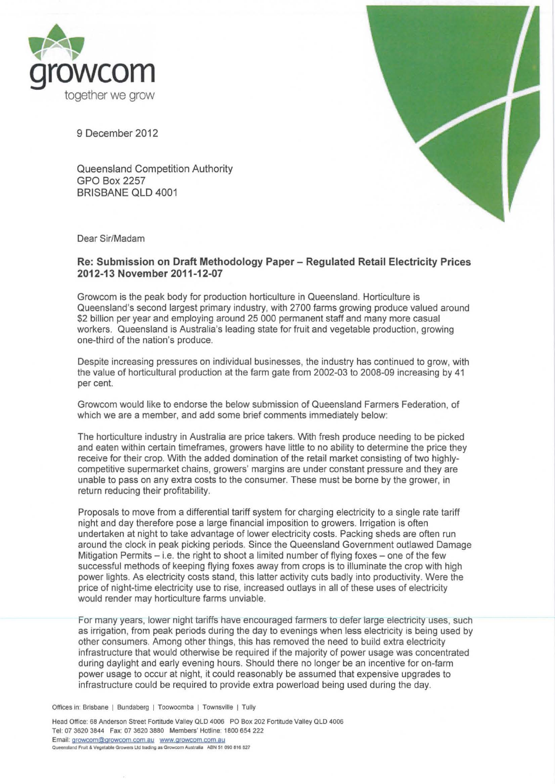

9 December 2012

Queensland Competition Authority GPO Box 2257 BRISBANE QLO 4001



Dear Sir/Madam

## **Re: Submission on Draft Methodology Paper - Regulated Retail Electricity Prices 2012·13 November 2011·12·07**

Growcom is the peak body for production horticulture in Queensland. Horticulture is Queensland's second largest primary industry, with 2700 farms growing produce valued around \$2 billion per year and employing around 25 000 permanent staff and many more casual workers. Queensland is Australia's leading state for fruit and vegetable production, growing one·third of the nation's produce.

Despite increasing pressures on individual businesses, the industry has continued to grow, with the value of horticultural production at the farm gate from 2002·03 to 2008-09 increasing by 41 per cent.

Growcom would like to endorse the below submission of Queensland Farmers Federation, of which we are a member, and add some brief comments immediately below:

The horticulture industry in Australia are price takers. With fresh produce needing to be picked and eaten within certain timeframes, growers have little to no ability to determine the price they receive for their crop. With the added domination of the retail market consisting of two highlycompetitive supermarket chains, growers' margins are under constant pressure and they are unable to pass on any extra costs to the consumer. These must be borne by the grower, in return reducing their profitability.

Proposals to move from a differential tariff system for charging electricity to a single rate tariff night and day therefore pose a large financial imposition to growers. Irrigation is often undertaken at night to take advantage of lower electricity costs. Packing sheds are often run around the clock in peak picking periods. Since the Queensland Government outlawed Damage Mitigation Permits  $-$  i.e. the right to shoot a limited number of flying foxes  $-$  one of the few successful methods of keeping flying foxes away from crops is to illuminate the crop with high power lights. As electricity costs stand, this latter activity cuts badly into productivity. Were the price of night-time electricity use to rise, increased outlays in all of these uses of electricity would render may horticulture farms unviable.

For many years, lower night tariffs have encouraged farmers to defer large electricity uses, such as irrigation, from peak periods during the day to evenings when less electricity is being used by other consumers. Among other things, this has removed the need to build extra electricity infrastructure that would otherwise be required if the majority of power usage was concentrated during daylight and early evening hours. Should there no longer be an incentive for on-farm power usage to occur at night, it could reasonably be assumed that expensive upgrades to infrastructure could be required to provide extra powerload being used during the day.

Offices in: Brisbane | Bundaberg | Toowoomba | Townsville | Tully

**Head Office: 68 Anderson Street Fortitude Valley OLD 4006 PO Box 202 Fortitude Valley OLD 4006 Tel: 07 3620 3844 Fax: 07 3620 3880 Members' Hotline: 1800654 222**  Email: growcom@growcom.com.au www.growcom.com.au ensland Fruit & Vegetable Growers Ltd trading as Growcom Australia ABN 51 090 816 827